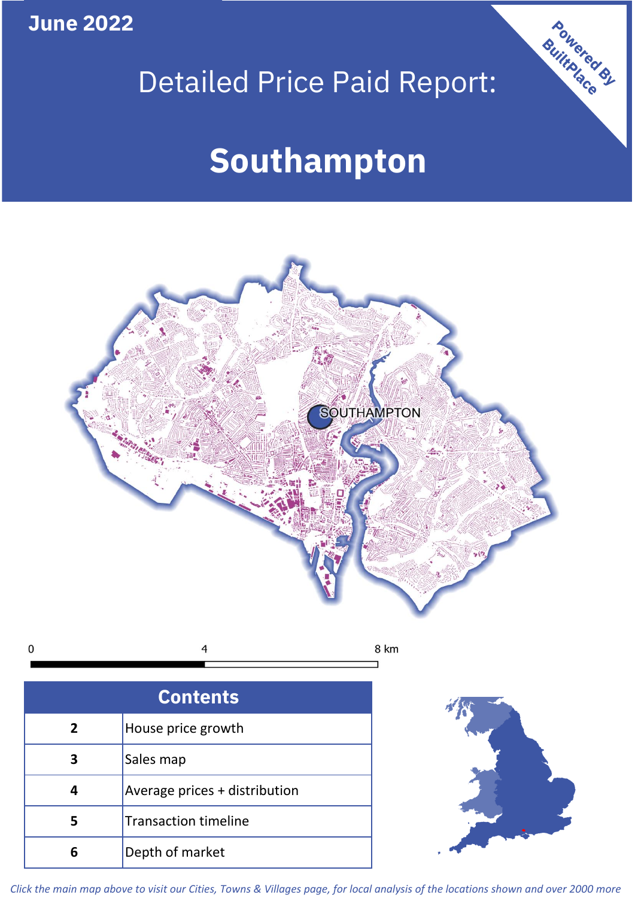**June 2022**

# Detailed Price Paid Report:

# **Southampton**



 $\mathbf 0$ 8 km 4

| <b>Contents</b> |                               |  |  |
|-----------------|-------------------------------|--|--|
| $\overline{2}$  | House price growth            |  |  |
| 3               | Sales map                     |  |  |
|                 | Average prices + distribution |  |  |
|                 | <b>Transaction timeline</b>   |  |  |
|                 | Depth of market               |  |  |



Powered By

*Click the main map above to visit our Cities, Towns & Villages page, for local analysis of the locations shown and over 2000 more*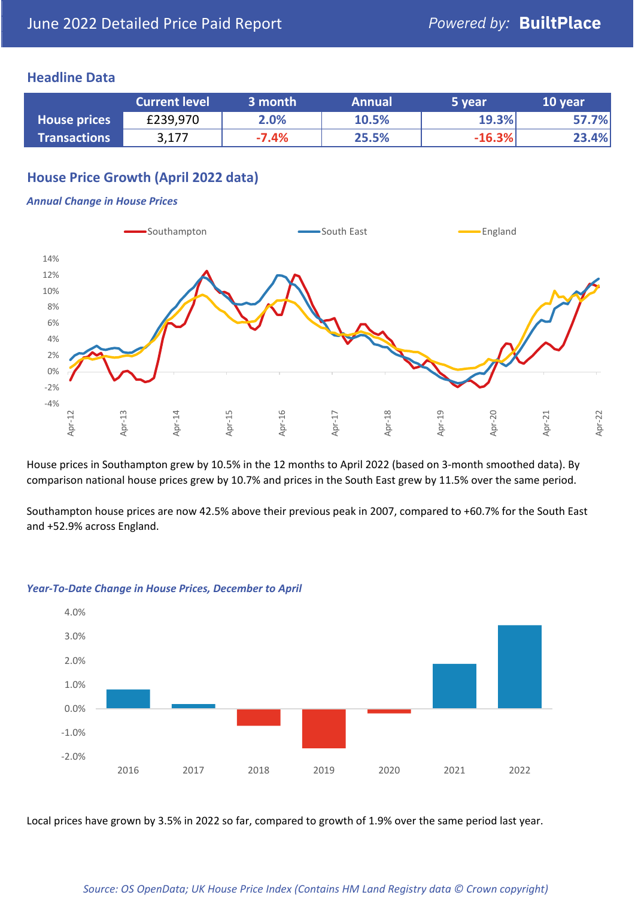### **Headline Data**

|                     | <b>Current level</b> | 3 month | <b>Annual</b> | 5 year   | 10 year |
|---------------------|----------------------|---------|---------------|----------|---------|
| <b>House prices</b> | £239,970             | 2.0%    | 10.5%         | 19.3%    | 57.7%   |
| <b>Transactions</b> | 3,177                | $-7.4%$ | 25.5%         | $-16.3%$ | 23.4%   |

# **House Price Growth (April 2022 data)**

#### *Annual Change in House Prices*



House prices in Southampton grew by 10.5% in the 12 months to April 2022 (based on 3-month smoothed data). By comparison national house prices grew by 10.7% and prices in the South East grew by 11.5% over the same period.

Southampton house prices are now 42.5% above their previous peak in 2007, compared to +60.7% for the South East and +52.9% across England.



#### *Year-To-Date Change in House Prices, December to April*

Local prices have grown by 3.5% in 2022 so far, compared to growth of 1.9% over the same period last year.

#### *Source: OS OpenData; UK House Price Index (Contains HM Land Registry data © Crown copyright)*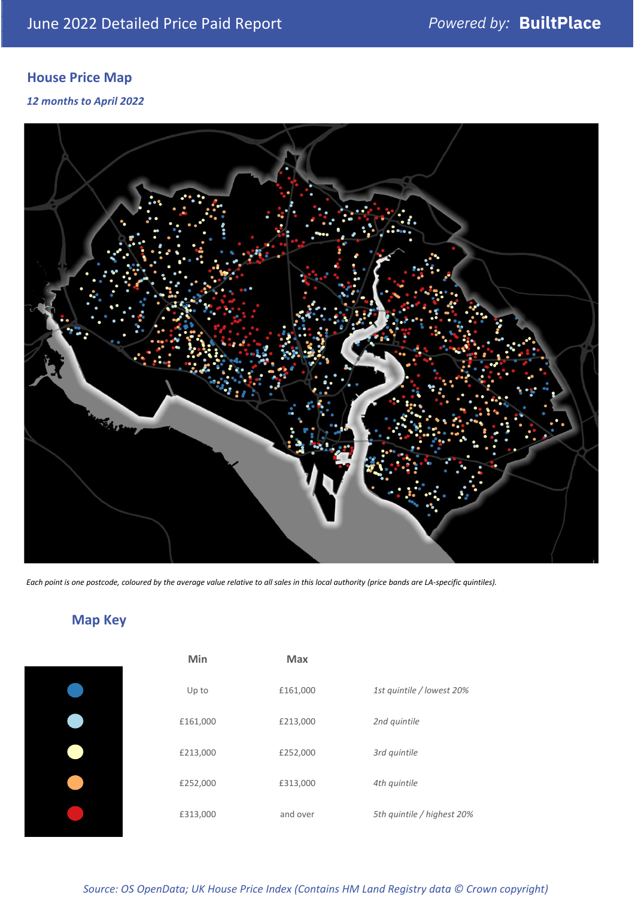# **House Price Map**

*12 months to April 2022*



*Each point is one postcode, coloured by the average value relative to all sales in this local authority (price bands are LA-specific quintiles).*

**Map Key**

| Min      | <b>Max</b> |                            |
|----------|------------|----------------------------|
| Up to    | £161,000   | 1st quintile / lowest 20%  |
| £161,000 | £213,000   | 2nd quintile               |
| £213,000 | £252,000   | 3rd quintile               |
| £252,000 | £313,000   | 4th quintile               |
| £313,000 | and over   | 5th quintile / highest 20% |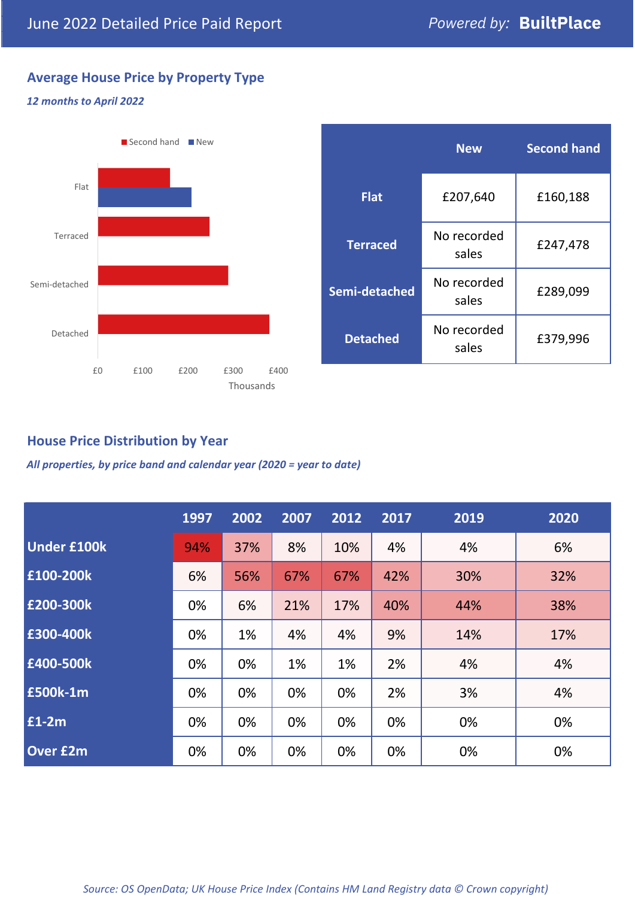# **Average House Price by Property Type**

#### *12 months to April 2022*



|                 | <b>New</b>           | <b>Second hand</b> |  |
|-----------------|----------------------|--------------------|--|
| <b>Flat</b>     | £207,640             | £160,188           |  |
| <b>Terraced</b> | No recorded<br>sales | £247,478           |  |
| Semi-detached   | No recorded<br>sales | £289,099           |  |
| <b>Detached</b> | No recorded<br>sales | £379,996           |  |

## **House Price Distribution by Year**

*All properties, by price band and calendar year (2020 = year to date)*

|                    | 1997 | 2002 | 2007 | 2012 | 2017 | 2019 | 2020 |
|--------------------|------|------|------|------|------|------|------|
| <b>Under £100k</b> | 94%  | 37%  | 8%   | 10%  | 4%   | 4%   | 6%   |
| £100-200k          | 6%   | 56%  | 67%  | 67%  | 42%  | 30%  | 32%  |
| E200-300k          | 0%   | 6%   | 21%  | 17%  | 40%  | 44%  | 38%  |
| £300-400k          | 0%   | 1%   | 4%   | 4%   | 9%   | 14%  | 17%  |
| £400-500k          | 0%   | 0%   | 1%   | 1%   | 2%   | 4%   | 4%   |
| <b>£500k-1m</b>    | 0%   | 0%   | 0%   | 0%   | 2%   | 3%   | 4%   |
| £1-2m              | 0%   | 0%   | 0%   | 0%   | 0%   | 0%   | 0%   |
| <b>Over £2m</b>    | 0%   | 0%   | 0%   | 0%   | 0%   | 0%   | 0%   |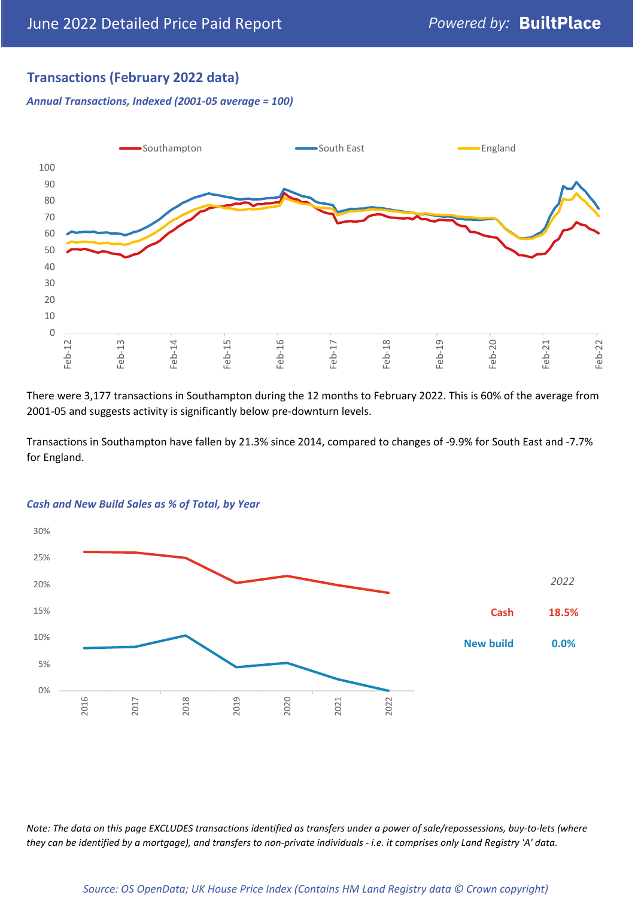# **Transactions (February 2022 data)**

*Annual Transactions, Indexed (2001-05 average = 100)*



There were 3,177 transactions in Southampton during the 12 months to February 2022. This is 60% of the average from 2001-05 and suggests activity is significantly below pre-downturn levels.

Transactions in Southampton have fallen by 21.3% since 2014, compared to changes of -9.9% for South East and -7.7% for England.



#### *Cash and New Build Sales as % of Total, by Year*

*Note: The data on this page EXCLUDES transactions identified as transfers under a power of sale/repossessions, buy-to-lets (where they can be identified by a mortgage), and transfers to non-private individuals - i.e. it comprises only Land Registry 'A' data.*